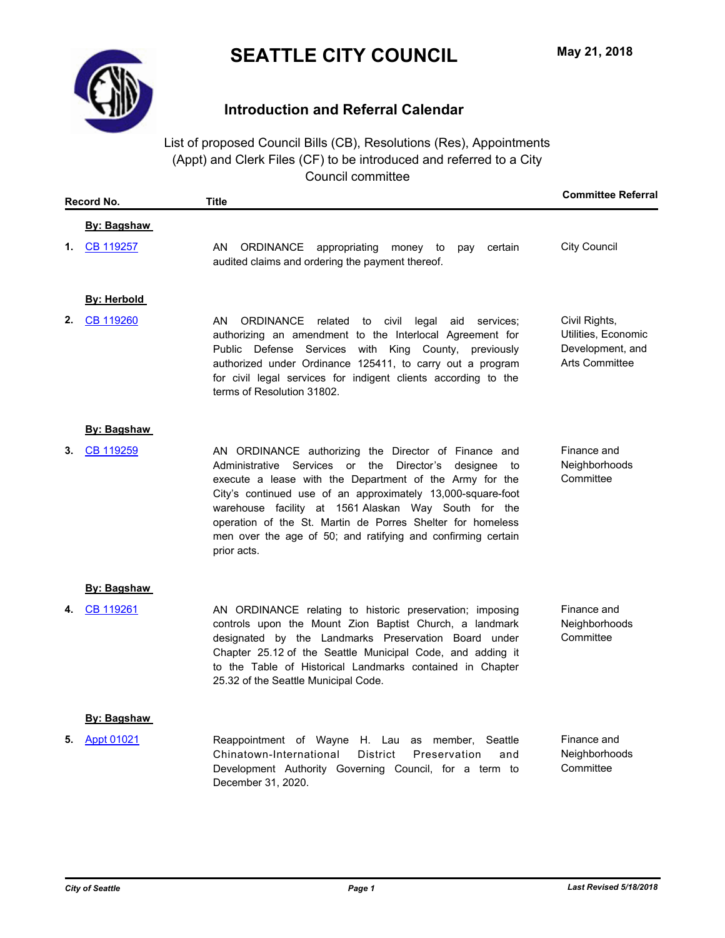

# **Introduction and Referral Calendar**

List of proposed Council Bills (CB), Resolutions (Res), Appointments (Appt) and Clerk Files (CF) to be introduced and referred to a City Council committee

| Record No. |                    | <b>Title</b>                                                                                                                                                                                                                                                                                                                                                                                                                                             | <b>Committee Referral</b>                                                         |
|------------|--------------------|----------------------------------------------------------------------------------------------------------------------------------------------------------------------------------------------------------------------------------------------------------------------------------------------------------------------------------------------------------------------------------------------------------------------------------------------------------|-----------------------------------------------------------------------------------|
|            | <b>By: Bagshaw</b> |                                                                                                                                                                                                                                                                                                                                                                                                                                                          |                                                                                   |
| 1.         | CB 119257          | AN<br>ORDINANCE appropriating<br>money to<br>certain<br>pay<br>audited claims and ordering the payment thereof.                                                                                                                                                                                                                                                                                                                                          | <b>City Council</b>                                                               |
|            | <u>By: Herbold</u> |                                                                                                                                                                                                                                                                                                                                                                                                                                                          |                                                                                   |
| 2.         | CB 119260          | AN<br><b>ORDINANCE</b><br>to civil<br>related<br>legal<br>services;<br>aid<br>authorizing an amendment to the Interlocal Agreement for<br>Public Defense Services with King County,<br>previously<br>authorized under Ordinance 125411, to carry out a program<br>for civil legal services for indigent clients according to the<br>terms of Resolution 31802.                                                                                           | Civil Rights,<br>Utilities, Economic<br>Development, and<br><b>Arts Committee</b> |
|            | By: Bagshaw        |                                                                                                                                                                                                                                                                                                                                                                                                                                                          |                                                                                   |
| З.         | CB 119259          | AN ORDINANCE authorizing the Director of Finance and<br>Administrative Services or<br>the<br>Director's<br>designee<br>to<br>execute a lease with the Department of the Army for the<br>City's continued use of an approximately 13,000-square-foot<br>warehouse facility at 1561 Alaskan Way South for the<br>operation of the St. Martin de Porres Shelter for homeless<br>men over the age of 50; and ratifying and confirming certain<br>prior acts. | Finance and<br>Neighborhoods<br>Committee                                         |
|            | By: Bagshaw        |                                                                                                                                                                                                                                                                                                                                                                                                                                                          |                                                                                   |
| 4.         | CB 119261          | AN ORDINANCE relating to historic preservation; imposing<br>controls upon the Mount Zion Baptist Church, a landmark<br>designated by the Landmarks Preservation Board under<br>Chapter 25.12 of the Seattle Municipal Code, and adding it<br>to the Table of Historical Landmarks contained in Chapter<br>25.32 of the Seattle Municipal Code.                                                                                                           | Finance and<br>Neighborhoods<br>Committee                                         |
|            | <u>By: Bagshaw</u> |                                                                                                                                                                                                                                                                                                                                                                                                                                                          |                                                                                   |
| 5.         | Appt 01021         | Reappointment of Wayne H. Lau as member,<br>Seattle<br>Chinatown-International<br>District<br>Preservation<br>and<br>Development Authority Governing Council, for a term to<br>December 31, 2020.                                                                                                                                                                                                                                                        | Finance and<br>Neighborhoods<br>Committee                                         |